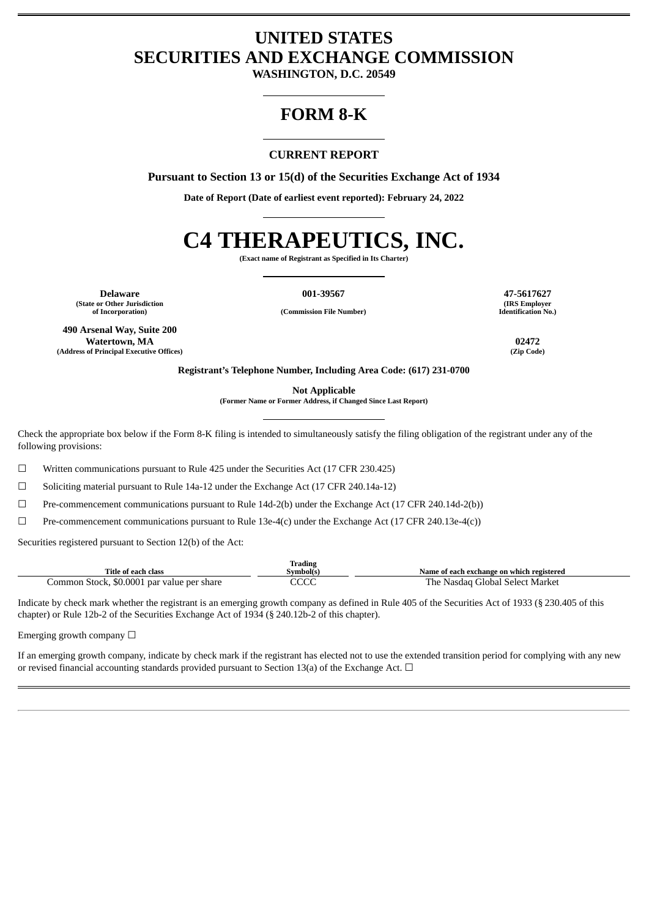# **UNITED STATES SECURITIES AND EXCHANGE COMMISSION**

**WASHINGTON, D.C. 20549**

# **FORM 8-K**

# **CURRENT REPORT**

**Pursuant to Section 13 or 15(d) of the Securities Exchange Act of 1934**

**Date of Report (Date of earliest event reported): February 24, 2022**

# **C4 THERAPEUTICS, INC.**

**(Exact name of Registrant as Specified in Its Charter)**

**Delaware 001-39567 47-5617627 (State or Other Jurisdiction**

**490 Arsenal Way, Suite 200 Watertown, MA 02472 (Address of Principal Executive Offices) (Zip Code)**

**of Incorporation) (Commission File Number)**

**(IRS Employer Identification No.)**

**Registrant's Telephone Number, Including Area Code: (617) 231-0700**

**Not Applicable**

**(Former Name or Former Address, if Changed Since Last Report)**

Check the appropriate box below if the Form 8-K filing is intended to simultaneously satisfy the filing obligation of the registrant under any of the following provisions:

☐ Written communications pursuant to Rule 425 under the Securities Act (17 CFR 230.425)

 $\Box$  Soliciting material pursuant to Rule 14a-12 under the Exchange Act (17 CFR 240.14a-12)

☐ Pre-commencement communications pursuant to Rule 14d-2(b) under the Exchange Act (17 CFR 240.14d-2(b))

☐ Pre-commencement communications pursuant to Rule 13e-4(c) under the Exchange Act (17 CFR 240.13e-4(c))

Securities registered pursuant to Section 12(b) of the Act:

| <b>Trading</b>                             |              |                                           |  |  |  |
|--------------------------------------------|--------------|-------------------------------------------|--|--|--|
| Title of each class                        | Symbol(s)    | Name of each exchange on which registered |  |  |  |
| Common Stock, \$0.0001 par value per share | nnnn<br>しししし | The<br>∙ Nasdag Global Select Market      |  |  |  |

Indicate by check mark whether the registrant is an emerging growth company as defined in Rule 405 of the Securities Act of 1933 (§ 230.405 of this chapter) or Rule 12b-2 of the Securities Exchange Act of 1934 (§ 240.12b-2 of this chapter).

Emerging growth company  $\Box$ 

If an emerging growth company, indicate by check mark if the registrant has elected not to use the extended transition period for complying with any new or revised financial accounting standards provided pursuant to Section 13(a) of the Exchange Act.  $\Box$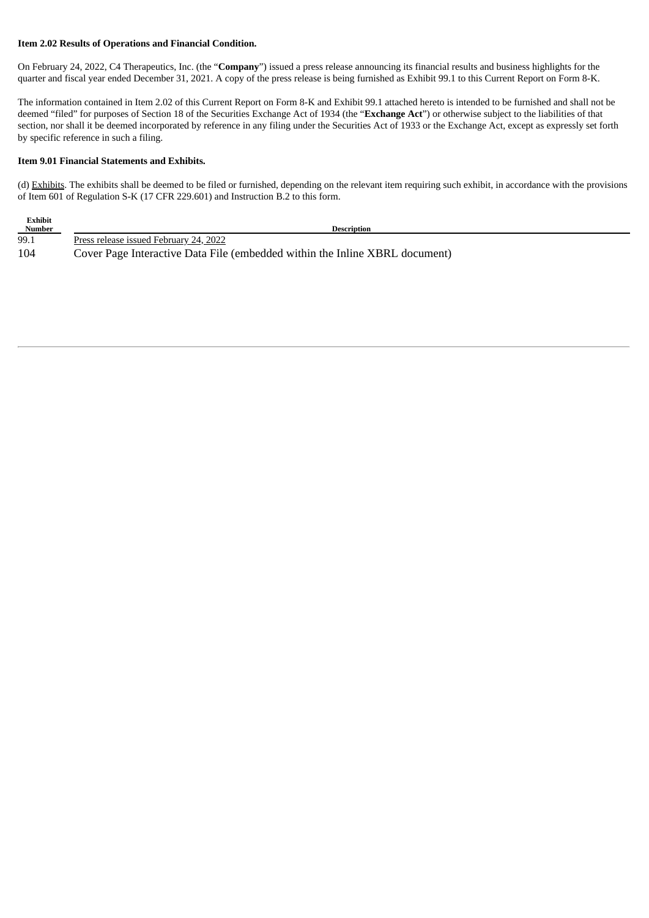#### **Item 2.02 Results of Operations and Financial Condition.**

On February 24, 2022, C4 Therapeutics, Inc. (the "**Company**") issued a press release announcing its financial results and business highlights for the quarter and fiscal year ended December 31, 2021. A copy of the press release is being furnished as Exhibit 99.1 to this Current Report on Form 8-K.

The information contained in Item 2.02 of this Current Report on Form 8-K and Exhibit 99.1 attached hereto is intended to be furnished and shall not be deemed "filed" for purposes of Section 18 of the Securities Exchange Act of 1934 (the "**Exchange Act**") or otherwise subject to the liabilities of that section, nor shall it be deemed incorporated by reference in any filing under the Securities Act of 1933 or the Exchange Act, except as expressly set forth by specific reference in such a filing.

#### **Item 9.01 Financial Statements and Exhibits.**

(d) Exhibits. The exhibits shall be deemed to be filed or furnished, depending on the relevant item requiring such exhibit, in accordance with the provisions of Item 601 of Regulation S-K (17 CFR 229.601) and Instruction B.2 to this form.

| Exhibit<br><b>Number</b> | <b>Description</b>                                                          |
|--------------------------|-----------------------------------------------------------------------------|
| 99.1                     | Press release issued February 24, 2022                                      |
| 104                      | Cover Page Interactive Data File (embedded within the Inline XBRL document) |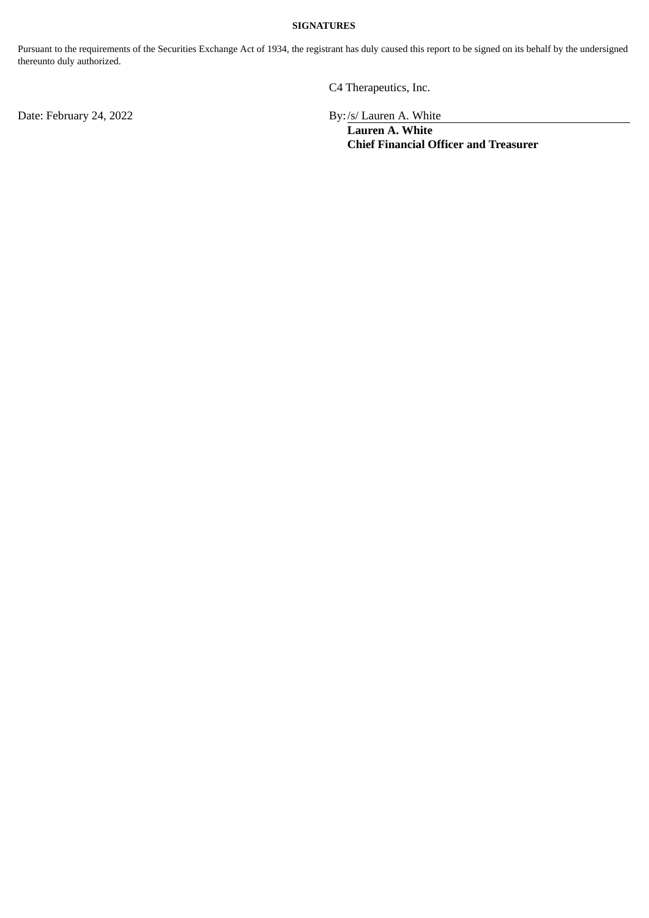#### **SIGNATURES**

Pursuant to the requirements of the Securities Exchange Act of 1934, the registrant has duly caused this report to be signed on its behalf by the undersigned thereunto duly authorized.

C4 Therapeutics, Inc.

Date: February 24, 2022 **By:** /s/ Lauren A. White

**Lauren A. White Chief Financial Officer and Treasurer**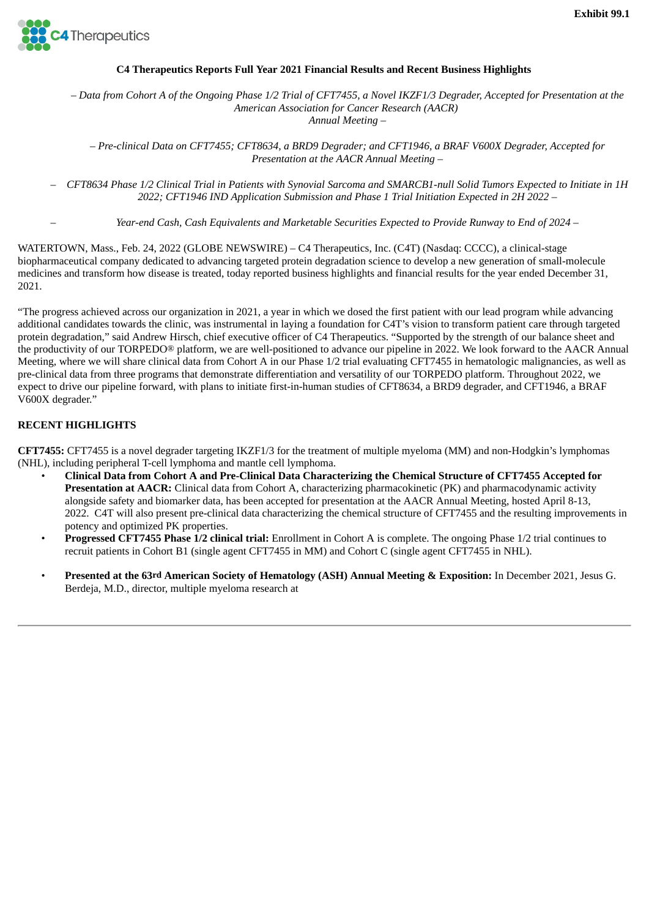<span id="page-3-0"></span>

## **C4 Therapeutics Reports Full Year 2021 Financial Results and Recent Business Highlights**

- Data from Cohort A of the Ongoing Phase 1/2 Trial of CFT7455, a Novel IKZF1/3 Degrader, Accepted for Presentation at the *American Association for Cancer Research (AACR)*

*Annual Meeting –*

- Pre-clinical Data on CFT7455; CFT8634, a BRD9 Degrader; and CFT1946, a BRAF V600X Degrader, Accepted for *Presentation at the AACR Annual Meeting –*

CFT8634 Phase 1/2 Clinical Trial in Patients with Synovial Sarcoma and SMARCB1-null Solid Tumors Expected to Initiate in 1H *2022; CFT1946 IND Application Submission and Phase 1 Trial Initiation Expected in 2H 2022 –*

– *Year-end Cash, Cash Equivalents and Marketable Securities Expected to Provide Runway to End of 2024 –*

WATERTOWN, Mass., Feb. 24, 2022 (GLOBE NEWSWIRE) – C4 Therapeutics, Inc. (C4T) (Nasdaq: CCCC), a clinical-stage biopharmaceutical company dedicated to advancing targeted protein degradation science to develop a new generation of small-molecule medicines and transform how disease is treated, today reported business highlights and financial results for the year ended December 31, 2021.

"The progress achieved across our organization in 2021, a year in which we dosed the first patient with our lead program while advancing additional candidates towards the clinic, was instrumental in laying a foundation for C4T's vision to transform patient care through targeted protein degradation," said Andrew Hirsch, chief executive officer of C4 Therapeutics. "Supported by the strength of our balance sheet and the productivity of our TORPEDO® platform, we are well-positioned to advance our pipeline in 2022. We look forward to the AACR Annual Meeting, where we will share clinical data from Cohort A in our Phase 1/2 trial evaluating CFT7455 in hematologic malignancies, as well as pre-clinical data from three programs that demonstrate differentiation and versatility of our TORPEDO platform. Throughout 2022, we expect to drive our pipeline forward, with plans to initiate first-in-human studies of CFT8634, a BRD9 degrader, and CFT1946, a BRAF V600X degrader."

# **RECENT HIGHLIGHTS**

**CFT7455:** CFT7455 is a novel degrader targeting IKZF1/3 for the treatment of multiple myeloma (MM) and non-Hodgkin's lymphomas (NHL), including peripheral T-cell lymphoma and mantle cell lymphoma.

- Clinical Data from Cohort A and Pre-Clinical Data Characterizing the Chemical Structure of CFT7455 Accepted for **Presentation at AACR:** Clinical data from Cohort A, characterizing pharmacokinetic (PK) and pharmacodynamic activity alongside safety and biomarker data, has been accepted for presentation at the AACR Annual Meeting, hosted April 8-13, 2022. C4T will also present pre-clinical data characterizing the chemical structure of CFT7455 and the resulting improvements in potency and optimized PK properties.
- **Progressed CFT7455 Phase 1/2 clinical trial:** Enrollment in Cohort A is complete. The ongoing Phase 1/2 trial continues to recruit patients in Cohort B1 (single agent CFT7455 in MM) and Cohort C (single agent CFT7455 in NHL).
- **Presented at the 63rd American Society of Hematology (ASH) Annual Meeting & Exposition:** In December 2021, Jesus G. Berdeja, M.D., director, multiple myeloma research at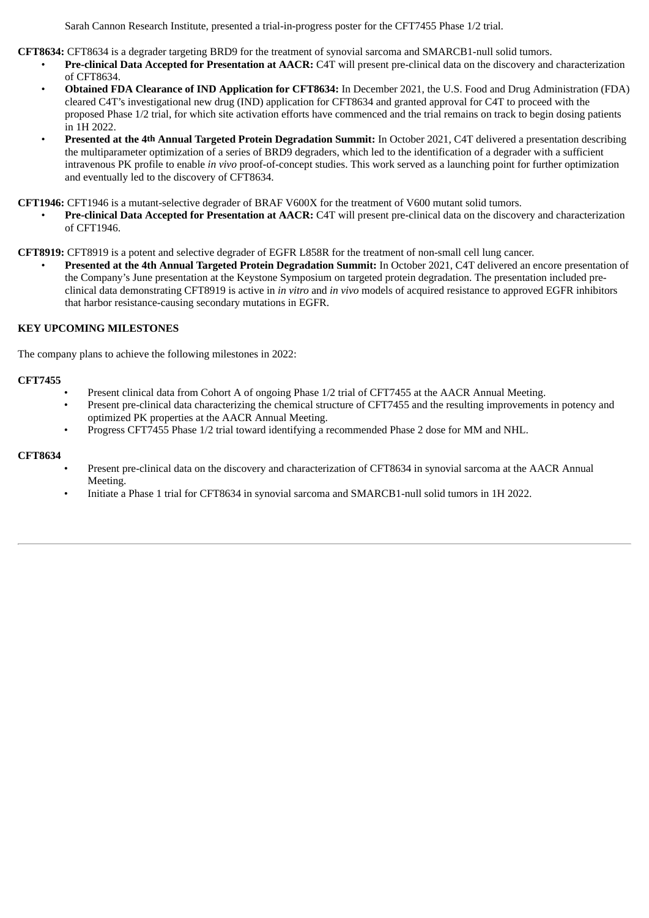Sarah Cannon Research Institute, presented a trial-in-progress poster for the CFT7455 Phase 1/2 trial.

**CFT8634:** CFT8634 is a degrader targeting BRD9 for the treatment of synovial sarcoma and SMARCB1-null solid tumors.

- **Pre-clinical Data Accepted for Presentation at AACR:** C4T will present pre-clinical data on the discovery and characterization of CFT8634.
- **Obtained FDA Clearance of IND Application for CFT8634:** In December 2021, the U.S. Food and Drug Administration (FDA) cleared C4T's investigational new drug (IND) application for CFT8634 and granted approval for C4T to proceed with the proposed Phase 1/2 trial, for which site activation efforts have commenced and the trial remains on track to begin dosing patients in 1H 2022.
- **Presented at the 4th Annual Targeted Protein Degradation Summit:** In October 2021, C4T delivered a presentation describing the multiparameter optimization of a series of BRD9 degraders, which led to the identification of a degrader with a sufficient intravenous PK profile to enable *in vivo* proof-of-concept studies. This work served as a launching point for further optimization and eventually led to the discovery of CFT8634.

**CFT1946:** CFT1946 is a mutant-selective degrader of BRAF V600X for the treatment of V600 mutant solid tumors.

• **Pre-clinical Data Accepted for Presentation at AACR:** C4T will present pre-clinical data on the discovery and characterization of CFT1946.

**CFT8919:** CFT8919 is a potent and selective degrader of EGFR L858R for the treatment of non-small cell lung cancer.

• **Presented at the 4th Annual Targeted Protein Degradation Summit:** In October 2021, C4T delivered an encore presentation of the Company's June presentation at the Keystone Symposium on targeted protein degradation. The presentation included preclinical data demonstrating CFT8919 is active in *in vitro* and *in vivo* models of acquired resistance to approved EGFR inhibitors that harbor resistance-causing secondary mutations in EGFR.

# **KEY UPCOMING MILESTONES**

The company plans to achieve the following milestones in 2022:

#### **CFT7455**

- Present clinical data from Cohort A of ongoing Phase 1/2 trial of CFT7455 at the AACR Annual Meeting.
	- Present pre-clinical data characterizing the chemical structure of CFT7455 and the resulting improvements in potency and optimized PK properties at the AACR Annual Meeting.
- Progress CFT7455 Phase 1/2 trial toward identifying a recommended Phase 2 dose for MM and NHL.

#### **CFT8634**

- Present pre-clinical data on the discovery and characterization of CFT8634 in synovial sarcoma at the AACR Annual Meeting.
- Initiate a Phase 1 trial for CFT8634 in synovial sarcoma and SMARCB1-null solid tumors in 1H 2022.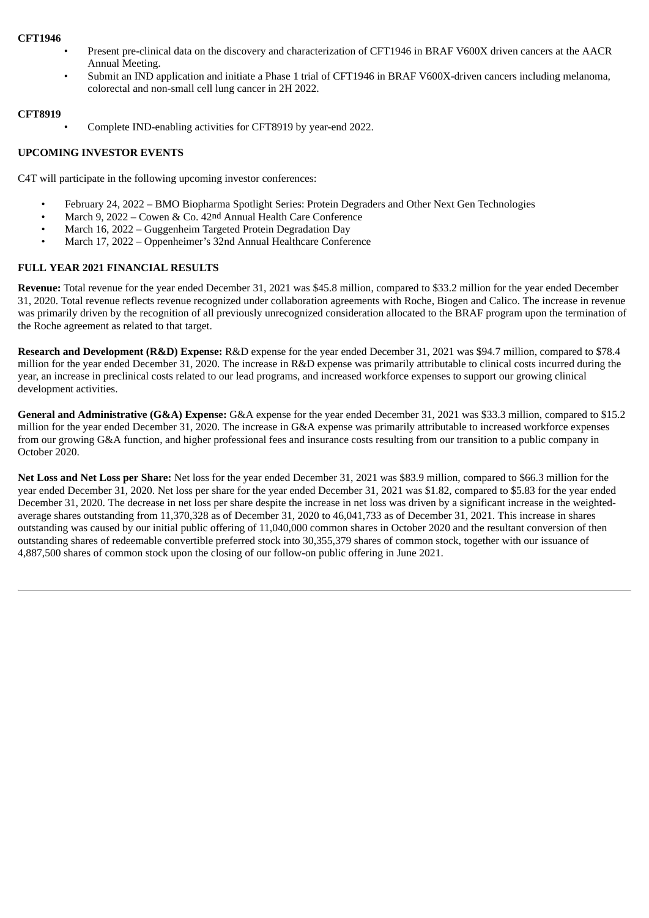#### **CFT1946**

- Present pre-clinical data on the discovery and characterization of CFT1946 in BRAF V600X driven cancers at the AACR Annual Meeting.
- Submit an IND application and initiate a Phase 1 trial of CFT1946 in BRAF V600X-driven cancers including melanoma, colorectal and non-small cell lung cancer in 2H 2022.

## **CFT8919**

• Complete IND-enabling activities for CFT8919 by year-end 2022.

# **UPCOMING INVESTOR EVENTS**

C4T will participate in the following upcoming investor conferences:

- February 24, 2022 BMO Biopharma Spotlight Series: Protein Degraders and Other Next Gen Technologies
- March 9, 2022 Cowen & Co. 42nd Annual Health Care Conference
- March 16, 2022 Guggenheim Targeted Protein Degradation Day
- March 17, 2022 Oppenheimer's 32nd Annual Healthcare Conference

# **FULL YEAR 2021 FINANCIAL RESULTS**

**Revenue:** Total revenue for the year ended December 31, 2021 was \$45.8 million, compared to \$33.2 million for the year ended December 31, 2020. Total revenue reflects revenue recognized under collaboration agreements with Roche, Biogen and Calico. The increase in revenue was primarily driven by the recognition of all previously unrecognized consideration allocated to the BRAF program upon the termination of the Roche agreement as related to that target.

**Research and Development (R&D) Expense:** R&D expense for the year ended December 31, 2021 was \$94.7 million, compared to \$78.4 million for the year ended December 31, 2020. The increase in R&D expense was primarily attributable to clinical costs incurred during the year, an increase in preclinical costs related to our lead programs, and increased workforce expenses to support our growing clinical development activities.

**General and Administrative (G&A) Expense:** G&A expense for the year ended December 31, 2021 was \$33.3 million, compared to \$15.2 million for the year ended December 31, 2020. The increase in G&A expense was primarily attributable to increased workforce expenses from our growing G&A function, and higher professional fees and insurance costs resulting from our transition to a public company in October 2020.

**Net Loss and Net Loss per Share:** Net loss for the year ended December 31, 2021 was \$83.9 million, compared to \$66.3 million for the year ended December 31, 2020. Net loss per share for the year ended December 31, 2021 was \$1.82, compared to \$5.83 for the year ended December 31, 2020. The decrease in net loss per share despite the increase in net loss was driven by a significant increase in the weightedaverage shares outstanding from 11,370,328 as of December 31, 2020 to 46,041,733 as of December 31, 2021. This increase in shares outstanding was caused by our initial public offering of 11,040,000 common shares in October 2020 and the resultant conversion of then outstanding shares of redeemable convertible preferred stock into 30,355,379 shares of common stock, together with our issuance of 4,887,500 shares of common stock upon the closing of our follow-on public offering in June 2021.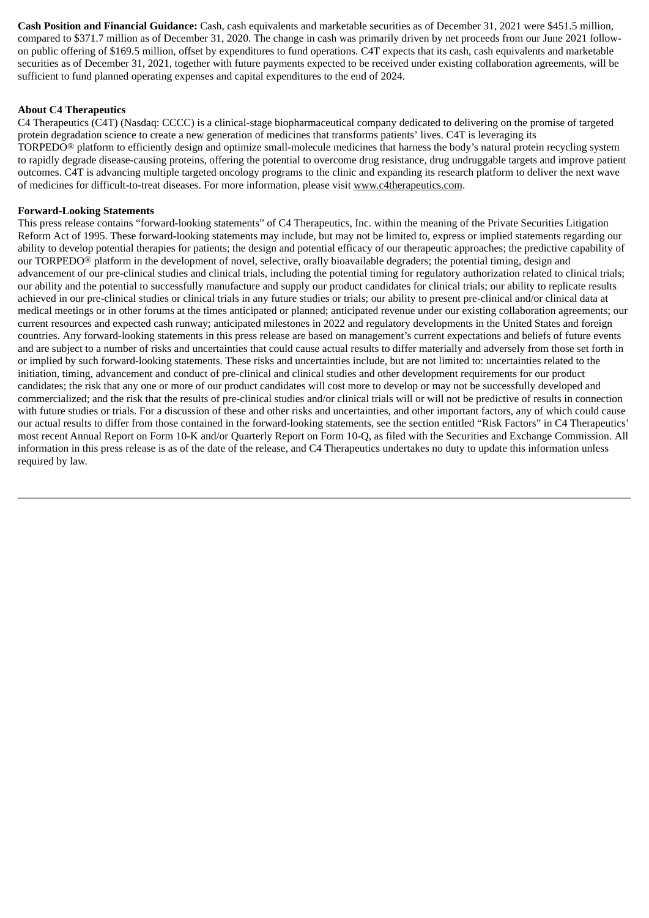**Cash Position and Financial Guidance:** Cash, cash equivalents and marketable securities as of December 31, 2021 were \$451.5 million, compared to \$371.7 million as of December 31, 2020. The change in cash was primarily driven by net proceeds from our June 2021 followon public offering of \$169.5 million, offset by expenditures to fund operations. C4T expects that its cash, cash equivalents and marketable securities as of December 31, 2021, together with future payments expected to be received under existing collaboration agreements, will be sufficient to fund planned operating expenses and capital expenditures to the end of 2024.

#### **About C4 Therapeutics**

C4 Therapeutics (C4T) (Nasdaq: CCCC) is a clinical-stage biopharmaceutical company dedicated to delivering on the promise of targeted protein degradation science to create a new generation of medicines that transforms patients' lives. C4T is leveraging its TORPEDO® platform to efficiently design and optimize small-molecule medicines that harness the body's natural protein recycling system to rapidly degrade disease-causing proteins, offering the potential to overcome drug resistance, drug undruggable targets and improve patient outcomes. C4T is advancing multiple targeted oncology programs to the clinic and expanding its research platform to deliver the next wave of medicines for difficult-to-treat diseases. For more information, please visit www.c4therapeutics.com.

#### **Forward-Looking Statements**

This press release contains "forward-looking statements" of C4 Therapeutics, Inc. within the meaning of the Private Securities Litigation Reform Act of 1995. These forward-looking statements may include, but may not be limited to, express or implied statements regarding our ability to develop potential therapies for patients; the design and potential efficacy of our therapeutic approaches; the predictive capability of our TORPEDO® platform in the development of novel, selective, orally bioavailable degraders; the potential timing, design and advancement of our pre-clinical studies and clinical trials, including the potential timing for regulatory authorization related to clinical trials; our ability and the potential to successfully manufacture and supply our product candidates for clinical trials; our ability to replicate results achieved in our pre-clinical studies or clinical trials in any future studies or trials; our ability to present pre-clinical and/or clinical data at medical meetings or in other forums at the times anticipated or planned; anticipated revenue under our existing collaboration agreements; our current resources and expected cash runway; anticipated milestones in 2022 and regulatory developments in the United States and foreign countries. Any forward-looking statements in this press release are based on management's current expectations and beliefs of future events and are subject to a number of risks and uncertainties that could cause actual results to differ materially and adversely from those set forth in or implied by such forward-looking statements. These risks and uncertainties include, but are not limited to: uncertainties related to the initiation, timing, advancement and conduct of pre-clinical and clinical studies and other development requirements for our product candidates; the risk that any one or more of our product candidates will cost more to develop or may not be successfully developed and commercialized; and the risk that the results of pre-clinical studies and/or clinical trials will or will not be predictive of results in connection with future studies or trials. For a discussion of these and other risks and uncertainties, and other important factors, any of which could cause our actual results to differ from those contained in the forward-looking statements, see the section entitled "Risk Factors" in C4 Therapeutics' most recent Annual Report on Form 10-K and/or Quarterly Report on Form 10-Q, as filed with the Securities and Exchange Commission. All information in this press release is as of the date of the release, and C4 Therapeutics undertakes no duty to update this information unless required by law.